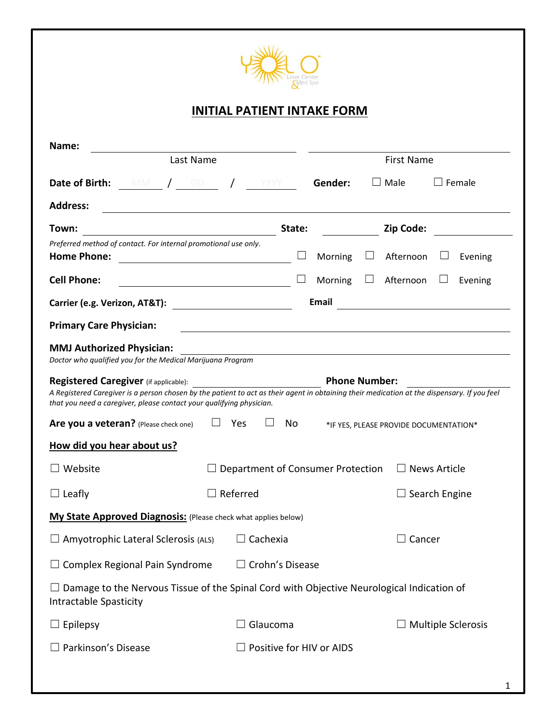

## **INITIAL PATIENT INTAKE FORM**

| Name:                                                                                                                                                                                                                                                                                |                                                             |         |                   |                           |  |
|--------------------------------------------------------------------------------------------------------------------------------------------------------------------------------------------------------------------------------------------------------------------------------------|-------------------------------------------------------------|---------|-------------------|---------------------------|--|
| Last Name                                                                                                                                                                                                                                                                            |                                                             |         | <b>First Name</b> |                           |  |
| Date of Birth:<br>MM / DD                                                                                                                                                                                                                                                            | <b>YYYY</b>                                                 | Gender: | $\Box$ Male       | $\Box$ Female             |  |
| <b>Address:</b>                                                                                                                                                                                                                                                                      |                                                             |         |                   |                           |  |
| Town:                                                                                                                                                                                                                                                                                | State:                                                      |         | Zip Code:         |                           |  |
| Preferred method of contact. For internal promotional use only.<br><b>Home Phone:</b>                                                                                                                                                                                                |                                                             | Morning | Afternoon         | Evening                   |  |
| <b>Cell Phone:</b><br><u> 1980 - Johann Barn, mars eta bainar eta baina eta baina eta baina eta baina eta baina eta baina eta baina e</u>                                                                                                                                            |                                                             | Morning | Afternoon         | Evening                   |  |
| Carrier (e.g. Verizon, AT&T):                                                                                                                                                                                                                                                        |                                                             | Email   |                   |                           |  |
| <b>Primary Care Physician:</b>                                                                                                                                                                                                                                                       |                                                             |         |                   |                           |  |
| <b>MMJ Authorized Physician:</b><br>Doctor who qualified you for the Medical Marijuana Program                                                                                                                                                                                       |                                                             |         |                   |                           |  |
| <b>Phone Number:</b><br>Registered Caregiver (if applicable):<br>A Registered Caregiver is a person chosen by the patient to act as their agent in obtaining their medication at the dispensary. If you feel<br>that you need a caregiver, please contact your qualifying physician. |                                                             |         |                   |                           |  |
| Are you a veteran? (Please check one)<br>Yes<br>No<br>*IF YES, PLEASE PROVIDE DOCUMENTATION*                                                                                                                                                                                         |                                                             |         |                   |                           |  |
| How did you hear about us?                                                                                                                                                                                                                                                           |                                                             |         |                   |                           |  |
| $\Box$ Website                                                                                                                                                                                                                                                                       | Department of Consumer Protection<br>$\square$ News Article |         |                   |                           |  |
| $\Box$ Leafly                                                                                                                                                                                                                                                                        | Referred                                                    |         |                   | $\Box$ Search Engine      |  |
| My State Approved Diagnosis: (Please check what applies below)                                                                                                                                                                                                                       |                                                             |         |                   |                           |  |
| $\Box$ Amyotrophic Lateral Sclerosis (ALS) $\Box$ Cachexia                                                                                                                                                                                                                           |                                                             |         | $\Box$ Cancer     |                           |  |
| Complex Regional Pain Syndrome                                                                                                                                                                                                                                                       | Crohn's Disease                                             |         |                   |                           |  |
| $\Box$ Damage to the Nervous Tissue of the Spinal Cord with Objective Neurological Indication of<br><b>Intractable Spasticity</b>                                                                                                                                                    |                                                             |         |                   |                           |  |
| $\Box$ Epilepsy                                                                                                                                                                                                                                                                      | Glaucoma                                                    |         |                   | <b>Multiple Sclerosis</b> |  |
| Parkinson's Disease                                                                                                                                                                                                                                                                  | Positive for HIV or AIDS                                    |         |                   |                           |  |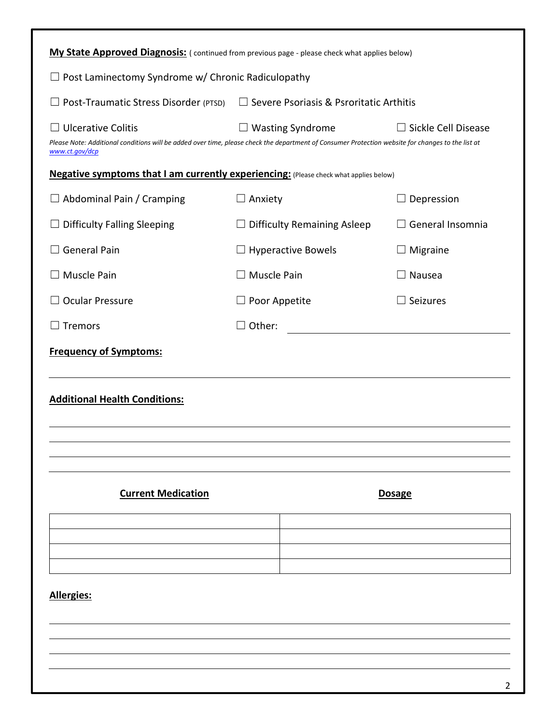| My State Approved Diagnosis: (continued from previous page - please check what applies below) |                                                                                                                                                                              |                           |                            |  |  |  |
|-----------------------------------------------------------------------------------------------|------------------------------------------------------------------------------------------------------------------------------------------------------------------------------|---------------------------|----------------------------|--|--|--|
| Post Laminectomy Syndrome w/ Chronic Radiculopathy                                            |                                                                                                                                                                              |                           |                            |  |  |  |
| Post-Traumatic Stress Disorder (PTSD)                                                         | $\Box$ Severe Psoriasis & Psroritatic Arthitis                                                                                                                               |                           |                            |  |  |  |
| $\Box$ Ulcerative Colitis<br>www.ct.gov/dcp                                                   | $\Box$ Wasting Syndrome<br>Please Note: Additional conditions will be added over time, please check the department of Consumer Protection website for changes to the list at |                           | $\Box$ Sickle Cell Disease |  |  |  |
| Negative symptoms that I am currently experiencing: (Please check what applies below)         |                                                                                                                                                                              |                           |                            |  |  |  |
| $\Box$ Abdominal Pain / Cramping                                                              | $\Box$ Anxiety                                                                                                                                                               |                           | Depression                 |  |  |  |
| <b>Difficulty Falling Sleeping</b>                                                            | $\Box$ Difficulty Remaining Asleep                                                                                                                                           |                           | $\Box$ General Insomnia    |  |  |  |
| <b>General Pain</b>                                                                           |                                                                                                                                                                              | $\Box$ Hyperactive Bowels | $\Box$ Migraine            |  |  |  |
| Muscle Pain                                                                                   | $\square$ Muscle Pain                                                                                                                                                        |                           | $\Box$ Nausea              |  |  |  |
| <b>Ocular Pressure</b>                                                                        | $\Box$ Poor Appetite                                                                                                                                                         |                           | $\Box$ Seizures            |  |  |  |
| Tremors                                                                                       | Other:<br>$\Box$                                                                                                                                                             |                           |                            |  |  |  |
| <b>Frequency of Symptoms:</b>                                                                 |                                                                                                                                                                              |                           |                            |  |  |  |
| <b>Additional Health Conditions:</b>                                                          |                                                                                                                                                                              |                           |                            |  |  |  |
|                                                                                               |                                                                                                                                                                              |                           |                            |  |  |  |
| <b>Current Medication</b>                                                                     |                                                                                                                                                                              |                           | <b>Dosage</b>              |  |  |  |
|                                                                                               |                                                                                                                                                                              |                           |                            |  |  |  |
|                                                                                               |                                                                                                                                                                              |                           |                            |  |  |  |
| Allergies:                                                                                    |                                                                                                                                                                              |                           |                            |  |  |  |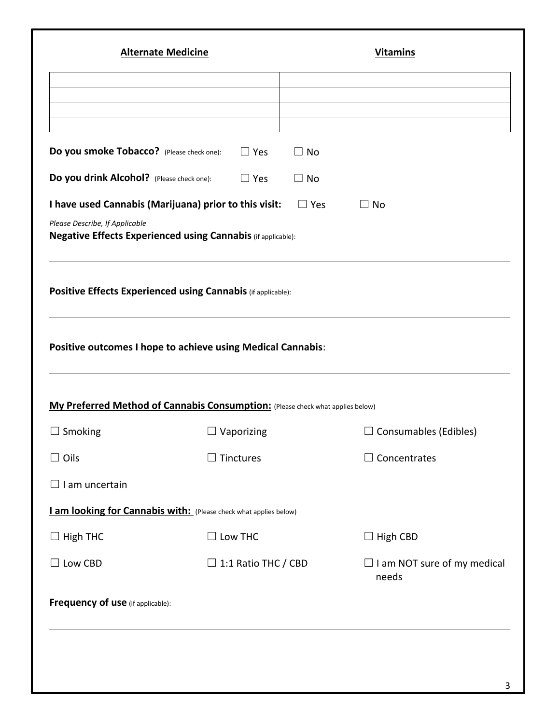| <b>Alternate Medicine</b>                                                                             |                                                                                                                                               | <b>Vitamins</b> |                                             |  |
|-------------------------------------------------------------------------------------------------------|-----------------------------------------------------------------------------------------------------------------------------------------------|-----------------|---------------------------------------------|--|
|                                                                                                       |                                                                                                                                               |                 |                                             |  |
|                                                                                                       |                                                                                                                                               |                 |                                             |  |
| Do you smoke Tobacco? (Please check one):                                                             | $\Box$ Yes                                                                                                                                    | $\Box$ No       |                                             |  |
| Do you drink Alcohol? (Please check one):                                                             | $\Box$ Yes                                                                                                                                    | $\Box$ No       |                                             |  |
|                                                                                                       | I have used Cannabis (Marijuana) prior to this visit:                                                                                         | $\Box$ Yes      | $\square$ No                                |  |
| Please Describe, If Applicable<br><b>Negative Effects Experienced using Cannabis (if applicable):</b> |                                                                                                                                               |                 |                                             |  |
|                                                                                                       |                                                                                                                                               |                 |                                             |  |
|                                                                                                       | Positive Effects Experienced using Cannabis (if applicable):                                                                                  |                 |                                             |  |
|                                                                                                       |                                                                                                                                               |                 |                                             |  |
|                                                                                                       | Positive outcomes I hope to achieve using Medical Cannabis:<br>My Preferred Method of Cannabis Consumption: (Please check what applies below) |                 |                                             |  |
|                                                                                                       | $\Box$ Vaporizing                                                                                                                             |                 | $\Box$ Consumables (Edibles)                |  |
| Oils                                                                                                  | Tinctures                                                                                                                                     |                 | Concentrates                                |  |
|                                                                                                       |                                                                                                                                               |                 |                                             |  |
|                                                                                                       | I am looking for Cannabis with: (Please check what applies below)                                                                             |                 |                                             |  |
|                                                                                                       | $\Box$ Low THC                                                                                                                                |                 | $\Box$ High CBD                             |  |
| $\Box$ Low CBD                                                                                        | $\Box$ 1:1 Ratio THC / CBD                                                                                                                    |                 | $\Box$ I am NOT sure of my medical<br>needs |  |
| $\Box$ Smoking<br>$\Box$ I am uncertain<br>$\Box$ High THC<br>Frequency of use (if applicable):       |                                                                                                                                               |                 |                                             |  |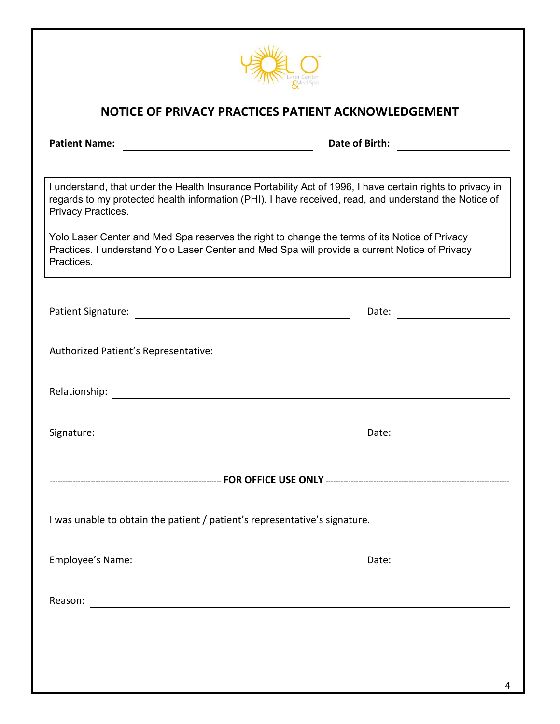

### **NOTICE OF PRIVACY PRACTICES PATIENT ACKNOWLEDGEMENT**

| <b>Patient Name:</b><br><u> 1989 - John Stein, mars and de Brandenberg and de Brandenberg and de Brandenberg and de Brandenberg and de Br</u>                                                                                             | Date of Birth: <b>with</b> |  |  |  |  |
|-------------------------------------------------------------------------------------------------------------------------------------------------------------------------------------------------------------------------------------------|----------------------------|--|--|--|--|
|                                                                                                                                                                                                                                           |                            |  |  |  |  |
| I understand, that under the Health Insurance Portability Act of 1996, I have certain rights to privacy in<br>regards to my protected health information (PHI). I have received, read, and understand the Notice of<br>Privacy Practices. |                            |  |  |  |  |
| Yolo Laser Center and Med Spa reserves the right to change the terms of its Notice of Privacy<br>Practices. I understand Yolo Laser Center and Med Spa will provide a current Notice of Privacy<br>Practices.                             |                            |  |  |  |  |
|                                                                                                                                                                                                                                           |                            |  |  |  |  |
|                                                                                                                                                                                                                                           |                            |  |  |  |  |
|                                                                                                                                                                                                                                           |                            |  |  |  |  |
|                                                                                                                                                                                                                                           |                            |  |  |  |  |
|                                                                                                                                                                                                                                           |                            |  |  |  |  |
| I was unable to obtain the patient / patient's representative's signature.                                                                                                                                                                |                            |  |  |  |  |
|                                                                                                                                                                                                                                           |                            |  |  |  |  |
|                                                                                                                                                                                                                                           |                            |  |  |  |  |
|                                                                                                                                                                                                                                           |                            |  |  |  |  |
|                                                                                                                                                                                                                                           |                            |  |  |  |  |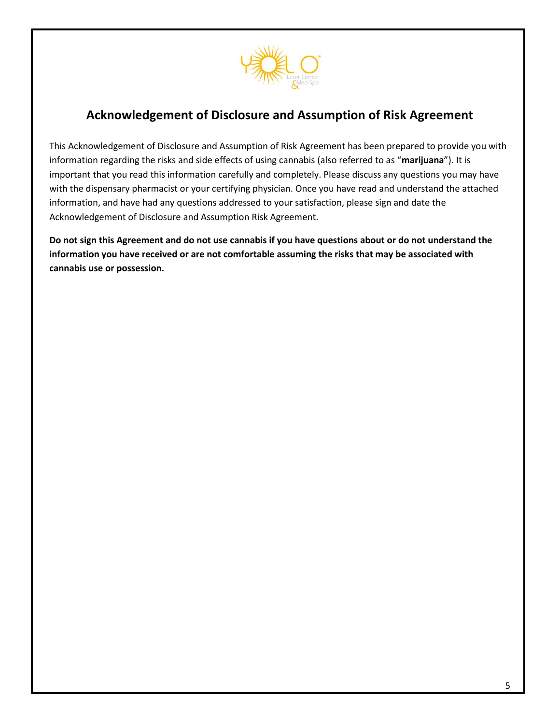

## **Acknowledgement of Disclosure and Assumption of Risk Agreement**

This Acknowledgement of Disclosure and Assumption of Risk Agreement has been prepared to provide you with information regarding the risks and side effects of using cannabis (also referred to as "**marijuana**"). It is important that you read this information carefully and completely. Please discuss any questions you may have with the dispensary pharmacist or your certifying physician. Once you have read and understand the attached information, and have had any questions addressed to your satisfaction, please sign and date the Acknowledgement of Disclosure and Assumption Risk Agreement.

**Do not sign this Agreement and do not use cannabis if you have questions about or do not understand the information you have received or are not comfortable assuming the risks that may be associated with cannabis use or possession.**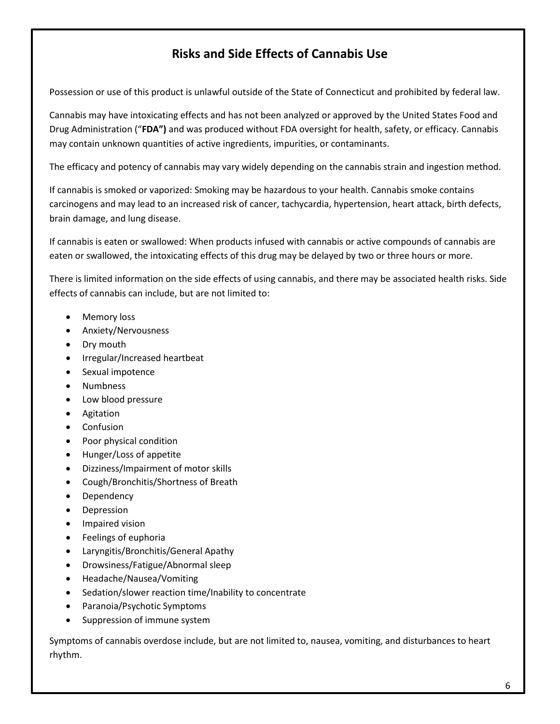# **Risks and Side Effects of Cannabis Use**

Possession or use of this product is unlawful outside of the State of Connecticut and prohibited by federal law.

Cannabis may have intoxicating effects and has not been analyzed or approved by the United States Food and Drug Administration ("**FDA")** and was produced without FDA oversight for health, safety, or efficacy. Cannabis may contain unknown quantities of active ingredients, impurities, or contaminants.

The efficacy and potency of cannabis may vary widely depending on the cannabis strain and ingestion method.

If cannabis is smoked or vaporized: Smoking may be hazardous to your health. Cannabis smoke contains carcinogens and may lead to an increased risk of cancer, tachycardia, hypertension, heart attack, birth defects, brain damage, and lung disease.

If cannabis is eaten or swallowed: When products infused with cannabis or active compounds of cannabis are eaten or swallowed, the intoxicating effects of this drug may be delayed by two or three hours or more.

There is limited information on the side effects of using cannabis, and there may be associated health risks. Side effects of cannabis can include, but are not limited to:

- Memory loss
- Anxiety/Nervousness
- Dry mouth
- Irregular/Increased heartbeat
- Sexual impotence
- Numbness
- Low blood pressure
- Agitation
- Confusion
- Poor physical condition
- Hunger/Loss of appetite
- Dizziness/Impairment of motor skills
- Cough/Bronchitis/Shortness of Breath
- Dependency
- Depression
- **•** Impaired vision
- Feelings of euphoria
- Laryngitis/Bronchitis/General Apathy
- Drowsiness/Fatigue/Abnormal sleep
- Headache/Nausea/Vomiting
- Sedation/slower reaction time/Inability to concentrate
- Paranoia/Psychotic Symptoms
- Suppression of immune system

Symptoms of cannabis overdose include, but are not limited to, nausea, vomiting, and disturbances to heart rhythm.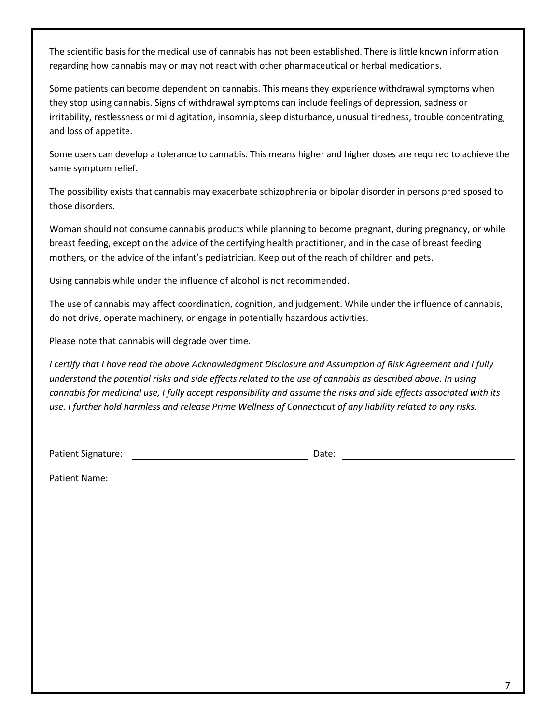The scientific basis for the medical use of cannabis has not been established. There is little known information regarding how cannabis may or may not react with other pharmaceutical or herbal medications.

Some patients can become dependent on cannabis. This means they experience withdrawal symptoms when they stop using cannabis. Signs of withdrawal symptoms can include feelings of depression, sadness or irritability, restlessness or mild agitation, insomnia, sleep disturbance, unusual tiredness, trouble concentrating, and loss of appetite.

Some users can develop a tolerance to cannabis. This means higher and higher doses are required to achieve the same symptom relief.

The possibility exists that cannabis may exacerbate schizophrenia or bipolar disorder in persons predisposed to those disorders.

Woman should not consume cannabis products while planning to become pregnant, during pregnancy, or while breast feeding, except on the advice of the certifying health practitioner, and in the case of breast feeding mothers, on the advice of the infant's pediatrician. Keep out of the reach of children and pets.

Using cannabis while under the influence of alcohol is not recommended.

The use of cannabis may affect coordination, cognition, and judgement. While under the influence of cannabis, do not drive, operate machinery, or engage in potentially hazardous activities.

Please note that cannabis will degrade over time.

*I certify that I have read the above Acknowledgment Disclosure and Assumption of Risk Agreement and I fully understand the potential risks and side effects related to the use of cannabis as described above. In using cannabis for medicinal use, I fully accept responsibility and assume the risks and side effects associated with its use. I further hold harmless and release Prime Wellness of Connecticut of any liability related to any risks.* 

Patient Signature: <u>Conserversion Conserversion</u> Date:

Patient Name: